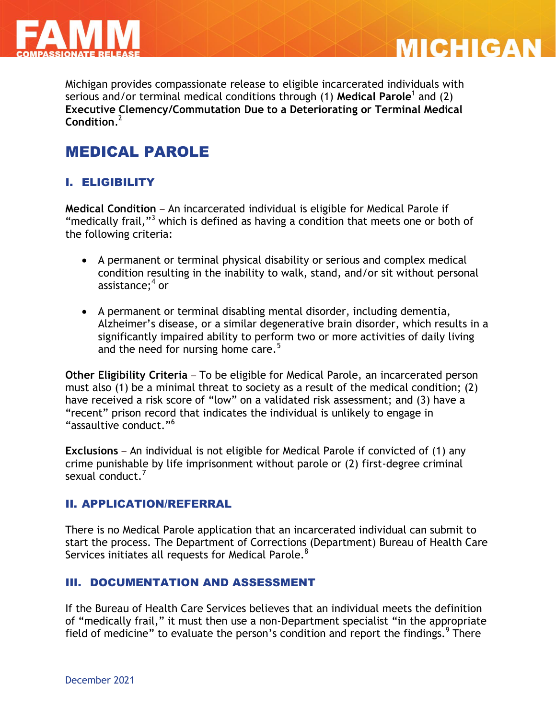



Michigan provides compassionate release to eligible incarcerated individuals with serious and/or terminal medical conditions through (1) **Medical Parole**<sup>1</sup> and (2) **Executive Clemency/Commutation Due to a Deteriorating or Terminal Medical Condition**. 2

# MEDICAL PAROLE

## I. ELIGIBILITY

**Medical Condition** – An incarcerated individual is eligible for Medical Parole if "medically frail,"<sup>3</sup> which is defined as having a condition that meets one or both of the following criteria:

- A permanent or terminal physical disability or serious and complex medical condition resulting in the inability to walk, stand, and/or sit without personal assistance;<sup>4</sup> or
- A permanent or terminal disabling mental disorder, including dementia, Alzheimer's disease, or a similar degenerative brain disorder, which results in a significantly impaired ability to perform two or more activities of daily living and the need for nursing home care.<sup>5</sup>

**Other Eligibility Criteria** – To be eligible for Medical Parole, an incarcerated person must also (1) be a minimal threat to society as a result of the medical condition; (2) have received a risk score of "low" on a validated risk assessment; and (3) have a "recent" prison record that indicates the individual is unlikely to engage in "assaultive conduct."<sup>6</sup>

**Exclusions** – An individual is not eligible for Medical Parole if convicted of (1) any crime punishable by life imprisonment without parole or (2) first-degree criminal sexual conduct.<sup>7</sup>

#### II. APPLICATION/REFERRAL

There is no Medical Parole application that an incarcerated individual can submit to start the process. The Department of Corrections (Department) Bureau of Health Care Services initiates all requests for Medical Parole.<sup>8</sup>

#### III. DOCUMENTATION AND ASSESSMENT

If the Bureau of Health Care Services believes that an individual meets the definition of "medically frail," it must then use a non-Department specialist "in the appropriate field of medicine" to evaluate the person's condition and report the findings.  $9$  There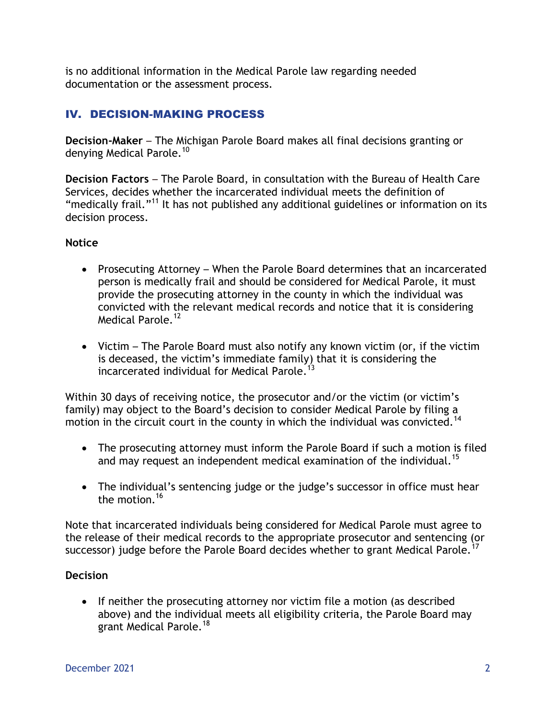is no additional information in the Medical Parole law regarding needed documentation or the assessment process.

## IV. DECISION-MAKING PROCESS

**Decision-Maker** – The Michigan Parole Board makes all final decisions granting or denying Medical Parole.<sup>10</sup>

**Decision Factors** – The Parole Board, in consultation with the Bureau of Health Care Services, decides whether the incarcerated individual meets the definition of "medically frail."<sup>11</sup> It has not published any additional guidelines or information on its decision process.

#### **Notice**

- Prosecuting Attorney When the Parole Board determines that an incarcerated person is medically frail and should be considered for Medical Parole, it must provide the prosecuting attorney in the county in which the individual was convicted with the relevant medical records and notice that it is considering Medical Parole.<sup>12</sup>
- Victim The Parole Board must also notify any known victim (or, if the victim is deceased, the victim's immediate family) that it is considering the incarcerated individual for Medical Parole.<sup>13</sup>

Within 30 days of receiving notice, the prosecutor and/or the victim (or victim's family) may object to the Board's decision to consider Medical Parole by filing a motion in the circuit court in the county in which the individual was convicted.<sup>14</sup>

- The prosecuting attorney must inform the Parole Board if such a motion is filed and may request an independent medical examination of the individual.<sup>15</sup>
- The individual's sentencing judge or the judge's successor in office must hear the motion.<sup>16</sup>

Note that incarcerated individuals being considered for Medical Parole must agree to the release of their medical records to the appropriate prosecutor and sentencing (or successor) judge before the Parole Board decides whether to grant Medical Parole.

#### **Decision**

• If neither the prosecuting attorney nor victim file a motion (as described above) and the individual meets all eligibility criteria, the Parole Board may grant Medical Parole.<sup>18</sup>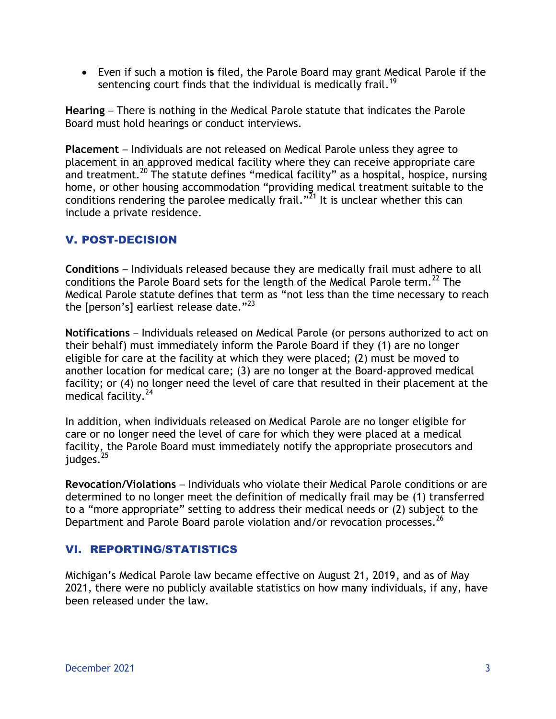Even if such a motion **is** filed, the Parole Board may grant Medical Parole if the sentencing court finds that the individual is medically frail.<sup>19</sup>

**Hearing** – There is nothing in the Medical Parole statute that indicates the Parole Board must hold hearings or conduct interviews.

**Placement** – Individuals are not released on Medical Parole unless they agree to placement in an approved medical facility where they can receive appropriate care and treatment.<sup>20</sup> The statute defines "medical facility" as a hospital, hospice, nursing home, or other housing accommodation "providing medical treatment suitable to the conditions rendering the parolee medically frail."<sup>21</sup> It is unclear whether this can include a private residence.

#### V. POST-DECISION

**Conditions** – Individuals released because they are medically frail must adhere to all conditions the Parole Board sets for the length of the Medical Parole term.<sup>22</sup> The Medical Parole statute defines that term as "not less than the time necessary to reach the [person's] earliest release date." $^{23}$ 

**Notifications** – Individuals released on Medical Parole (or persons authorized to act on their behalf) must immediately inform the Parole Board if they (1) are no longer eligible for care at the facility at which they were placed; (2) must be moved to another location for medical care; (3) are no longer at the Board-approved medical facility; or (4) no longer need the level of care that resulted in their placement at the medical facility.<sup>24</sup>

In addition, when individuals released on Medical Parole are no longer eligible for care or no longer need the level of care for which they were placed at a medical facility, the Parole Board must immediately notify the appropriate prosecutors and judges.<sup>25</sup>

**Revocation/Violations** – Individuals who violate their Medical Parole conditions or are determined to no longer meet the definition of medically frail may be (1) transferred to a "more appropriate" setting to address their medical needs or (2) subject to the Department and Parole Board parole violation and/or revocation processes.<sup>26</sup>

## VI. REPORTING/STATISTICS

Michigan's Medical Parole law became effective on August 21, 2019, and as of May 2021, there were no publicly available statistics on how many individuals, if any, have been released under the law.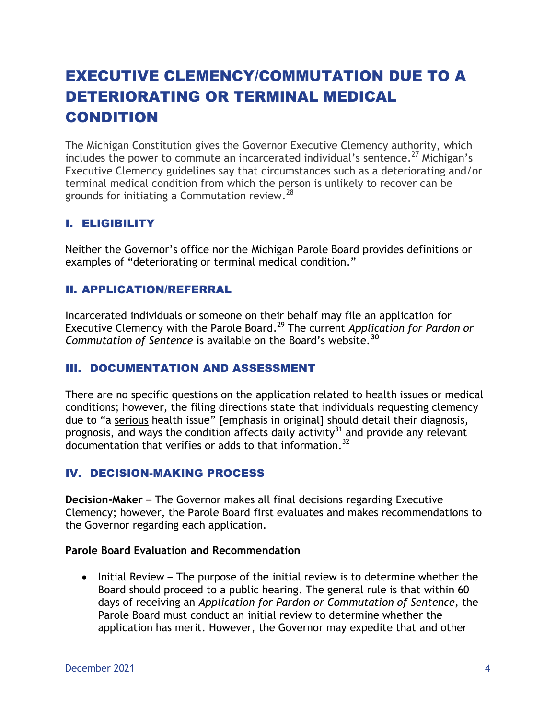# EXECUTIVE CLEMENCY/COMMUTATION DUE TO A DETERIORATING OR TERMINAL MEDICAL CONDITION

The Michigan Constitution gives the Governor Executive Clemency authority, which includes the power to commute an incarcerated individual's sentence.<sup>27</sup> Michigan's Executive Clemency guidelines say that circumstances such as a deteriorating and/or terminal medical condition from which the person is unlikely to recover can be grounds for initiating a Commutation review.<sup>28</sup>

#### I. ELIGIBILITY

Neither the Governor's office nor the Michigan Parole Board provides definitions or examples of "deteriorating or terminal medical condition."

#### II. APPLICATION/REFERRAL

Incarcerated individuals or someone on their behalf may file an application for Executive Clemency with the Parole Board. <sup>29</sup> The current *Application for Pardon or Commutation of Sentence* is available on the Board's website.**<sup>30</sup>**

#### III. DOCUMENTATION AND ASSESSMENT

There are no specific questions on the application related to health issues or medical conditions; however, the filing directions state that individuals requesting clemency due to "a serious health issue" [emphasis in original] should detail their diagnosis, prognosis, and ways the condition affects daily activity<sup>31</sup> and provide any relevant documentation that verifies or adds to that information.<sup>32</sup>

#### IV. DECISION-MAKING PROCESS

**Decision-Maker** – The Governor makes all final decisions regarding Executive Clemency; however, the Parole Board first evaluates and makes recommendations to the Governor regarding each application.

#### **Parole Board Evaluation and Recommendation**

 $\bullet$  Initial Review – The purpose of the initial review is to determine whether the Board should proceed to a public hearing. The general rule is that within 60 days of receiving an *Application for Pardon or Commutation of Sentence*, the Parole Board must conduct an initial review to determine whether the application has merit. However, the Governor may expedite that and other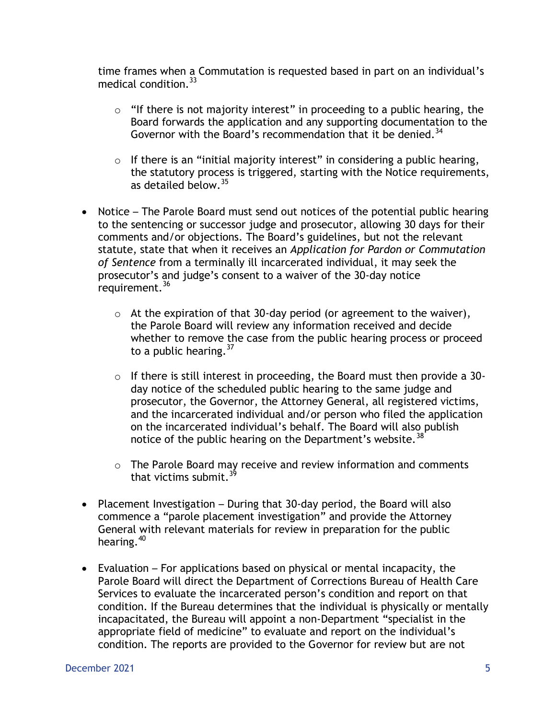time frames when a Commutation is requested based in part on an individual's medical condition.<sup>33</sup>

- $\circ$  "If there is not majority interest" in proceeding to a public hearing, the Board forwards the application and any supporting documentation to the Governor with the Board's recommendation that it be denied.<sup>34</sup>
- $\circ$  If there is an "initial majority interest" in considering a public hearing, the statutory process is triggered, starting with the Notice requirements, as detailed below.<sup>35</sup>
- Notice The Parole Board must send out notices of the potential public hearing to the sentencing or successor judge and prosecutor, allowing 30 days for their comments and/or objections. The Board's guidelines, but not the relevant statute, state that when it receives an *Application for Pardon or Commutation of Sentence* from a terminally ill incarcerated individual, it may seek the prosecutor's and judge's consent to a waiver of the 30-day notice requirement.<sup>36</sup>
	- $\circ$  At the expiration of that 30-day period (or agreement to the waiver), the Parole Board will review any information received and decide whether to remove the case from the public hearing process or proceed to a public hearing.  $37$
	- o If there is still interest in proceeding, the Board must then provide a 30 day notice of the scheduled public hearing to the same judge and prosecutor, the Governor, the Attorney General, all registered victims, and the incarcerated individual and/or person who filed the application on the incarcerated individual's behalf. The Board will also publish notice of the public hearing on the Department's website.<sup>38</sup>
	- o The Parole Board may receive and review information and comments that victims submit  $3<sup>9</sup>$
- Placement Investigation During that 30-day period, the Board will also commence a "parole placement investigation" and provide the Attorney General with relevant materials for review in preparation for the public hearing.<sup>40</sup>
- Evaluation For applications based on physical or mental incapacity, the Parole Board will direct the Department of Corrections Bureau of Health Care Services to evaluate the incarcerated person's condition and report on that condition. If the Bureau determines that the individual is physically or mentally incapacitated, the Bureau will appoint a non-Department "specialist in the appropriate field of medicine" to evaluate and report on the individual's condition. The reports are provided to the Governor for review but are not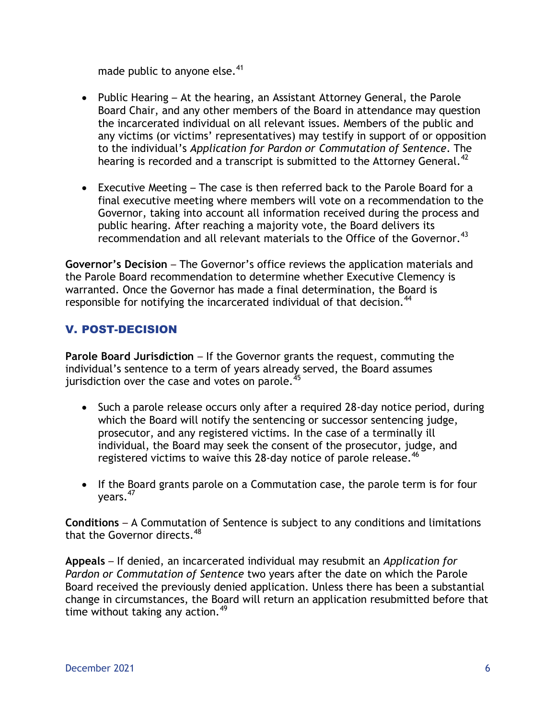made public to anyone else.<sup>41</sup>

- Public Hearing At the hearing, an Assistant Attorney General, the Parole Board Chair, and any other members of the Board in attendance may question the incarcerated individual on all relevant issues. Members of the public and any victims (or victims' representatives) may testify in support of or opposition to the individual's *Application for Pardon or Commutation of Sentence*. The hearing is recorded and a transcript is submitted to the Attorney General.<sup>42</sup>
- Executive Meeting The case is then referred back to the Parole Board for a final executive meeting where members will vote on a recommendation to the Governor, taking into account all information received during the process and public hearing. After reaching a majority vote, the Board delivers its recommendation and all relevant materials to the Office of the Governor.<sup>43</sup>

**Governor's Decision** – The Governor's office reviews the application materials and the Parole Board recommendation to determine whether Executive Clemency is warranted. Once the Governor has made a final determination, the Board is responsible for notifying the incarcerated individual of that decision.<sup>44</sup>

#### V. POST-DECISION

**Parole Board Jurisdiction** – If the Governor grants the request, commuting the individual's sentence to a term of years already served, the Board assumes jurisdiction over the case and votes on parole.<sup>45</sup>

- Such a parole release occurs only after a required 28-day notice period, during which the Board will notify the sentencing or successor sentencing judge, prosecutor, and any registered victims. In the case of a terminally ill individual, the Board may seek the consent of the prosecutor, judge, and registered victims to waive this 28-day notice of parole release.<sup>46</sup>
- If the Board grants parole on a Commutation case, the parole term is for four years.<sup>47</sup>

**Conditions** – A Commutation of Sentence is subject to any conditions and limitations that the Governor directs.<sup>48</sup>

**Appeals** – If denied, an incarcerated individual may resubmit an *Application for Pardon or Commutation of Sentence* two years after the date on which the Parole Board received the previously denied application. Unless there has been a substantial change in circumstances, the Board will return an application resubmitted before that time without taking any action.<sup>49</sup>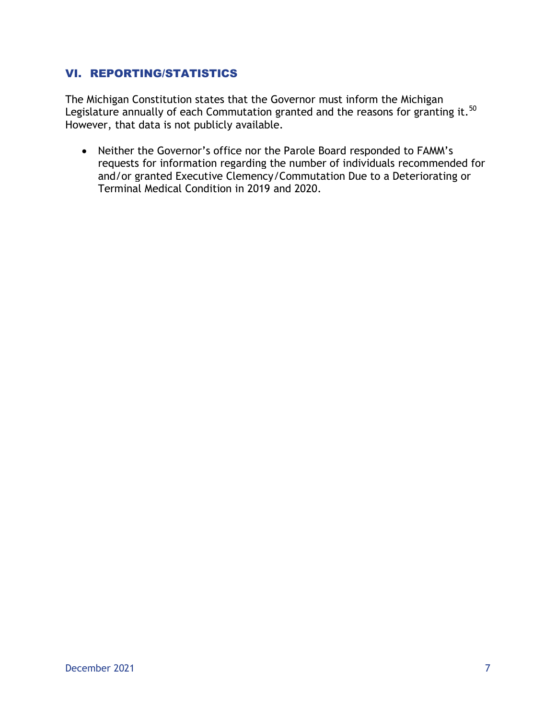#### VI. REPORTING/STATISTICS

The Michigan Constitution states that the Governor must inform the Michigan Legislature annually of each Commutation granted and the reasons for granting it.  $^{50}$ However, that data is not publicly available.

 Neither the Governor's office nor the Parole Board responded to FAMM's requests for information regarding the number of individuals recommended for and/or granted Executive Clemency/Commutation Due to a Deteriorating or Terminal Medical Condition in 2019 and 2020.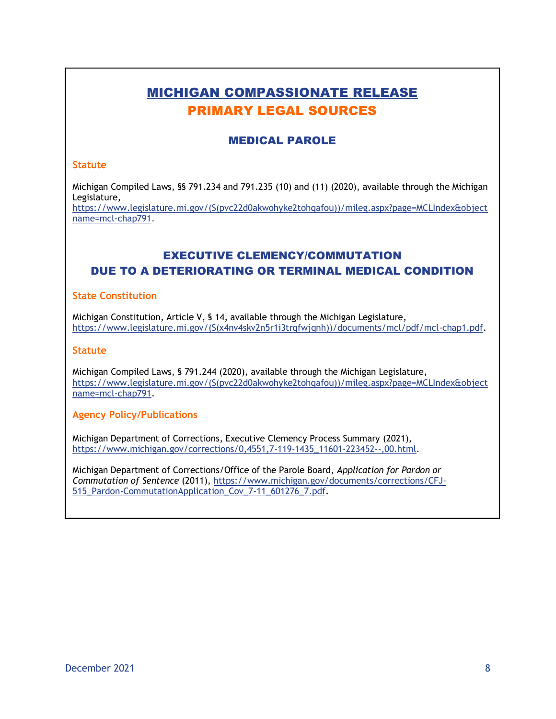# MICHIGAN COMPASSIONATE RELEASE PRIMARY LEGAL SOURCES

#### MEDICAL PAROLE

#### **Statute**

Michigan Compiled Laws, §§ 791.234 and 791.235 (10) and (11) (2020), available through the Michigan Legislature,

[https://www.legislature.mi.gov/\(S\(pvc22d0akwohyke2tohqafou\)\)/mileg.aspx?page=MCLIndex&object](https://www.legislature.mi.gov/(S(pvc22d0akwohyke2tohqafou))/mileg.aspx?page=MCLIndex&objectname=mcl-chap791) [name=mcl-chap791.](https://www.legislature.mi.gov/(S(pvc22d0akwohyke2tohqafou))/mileg.aspx?page=MCLIndex&objectname=mcl-chap791)

## EXECUTIVE CLEMENCY/COMMUTATION DUE TO A DETERIORATING OR TERMINAL MEDICAL CONDITION

#### **State Constitution**

Michigan Constitution, Article V, § 14, available through the Michigan Legislature, [https://www.legislature.mi.gov/\(S\(x4nv4skv2n5r1i3trqfwjqnh\)\)/documents/mcl/pdf/mcl-chap1.pdf.](https://www.legislature.mi.gov/(S(x4nv4skv2n5r1i3trqfwjqnh))/documents/mcl/pdf/mcl-chap1.pdf)

#### **Statute**

Michigan Compiled Laws, § 791.244 (2020), available through the Michigan Legislature, [https://www.legislature.mi.gov/\(S\(pvc22d0akwohyke2tohqafou\)\)/mileg.aspx?page=MCLIndex&object](https://www.legislature.mi.gov/(S(pvc22d0akwohyke2tohqafou))/mileg.aspx?page=MCLIndex&objectname=mcl-chap791) [name=mcl-chap791.](https://www.legislature.mi.gov/(S(pvc22d0akwohyke2tohqafou))/mileg.aspx?page=MCLIndex&objectname=mcl-chap791)

#### **Agency Policy/Publications**

Michigan Department of Corrections, Executive Clemency Process Summary (2021), [https://www.michigan.gov/corrections/0,4551,7-119-1435\\_11601-223452--,00.html.](https://www.michigan.gov/corrections/0,4551,7-119-1435_11601-223452--,00.html)

Michigan Department of Corrections/Office of the Parole Board, *Application for Pardon or Commutation of Sentence* (2011), [https://www.michigan.gov/documents/corrections/CFJ-](https://www.michigan.gov/documents/corrections/CFJ-515_Pardon-CommutationApplication_Cov_7-11_601276_7.pdf)515 Pardon-CommutationApplication Cov 7-11 601276 7.pdf.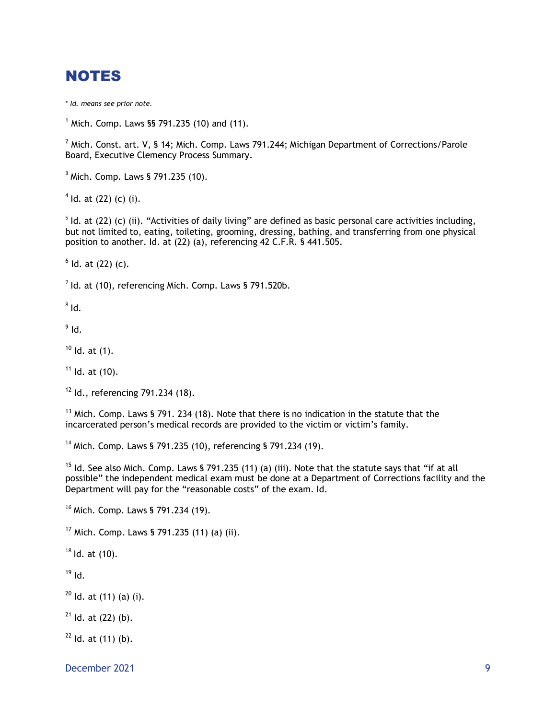# NOTES

\* *Id. means see prior note.*

 $<sup>1</sup>$  Mich. Comp. Laws §§ 791.235 (10) and (11).</sup>

 $2$  Mich. Const. art. V, § 14; Mich. Comp. Laws 791.244; Michigan Department of Corrections/Parole Board, Executive Clemency Process Summary.

<sup>3</sup> Mich. Comp. Laws § 791.235 (10).

 $4$  ld. at (22) (c) (i).

 $<sup>5</sup>$  Id. at (22) (c) (ii). "Activities of daily living" are defined as basic personal care activities including,</sup> but not limited to, eating, toileting, grooming, dressing, bathing, and transferring from one physical position to another. Id. at (22) (a), referencing 42 C.F.R. § 441.505.

 $<sup>6</sup>$  ld. at (22) (c).</sup>

 $7$  ld. at (10), referencing Mich. Comp. Laws § 791.520b.

 $^8$  Id.

 $^9$  Id.

 $10$  Id. at (1).

 $11$  Id. at  $(10)$ .

 $12$  Id., referencing 791.234 (18).

 $13$  Mich. Comp. Laws § 791. 234 (18). Note that there is no indication in the statute that the incarcerated person's medical records are provided to the victim or victim's family.

<sup>14</sup> Mich. Comp. Laws § 791.235 (10), referencing § 791.234 (19).

<sup>15</sup> Id. See also Mich. Comp. Laws § 791.235 (11) (a) (iii). Note that the statute says that "if at all possible" the independent medical exam must be done at a Department of Corrections facility and the Department will pay for the "reasonable costs" of the exam. Id.

<sup>16</sup> Mich. Comp. Laws § 791.234 (19).

 $17$  Mich. Comp. Laws § 791.235 (11) (a) (ii).

 $18$  Id. at (10).

 $19$  Id.

 $20$  Id. at (11) (a) (i).

 $21$  Id. at (22) (b).

 $22$  ld. at (11) (b).

December 2021 9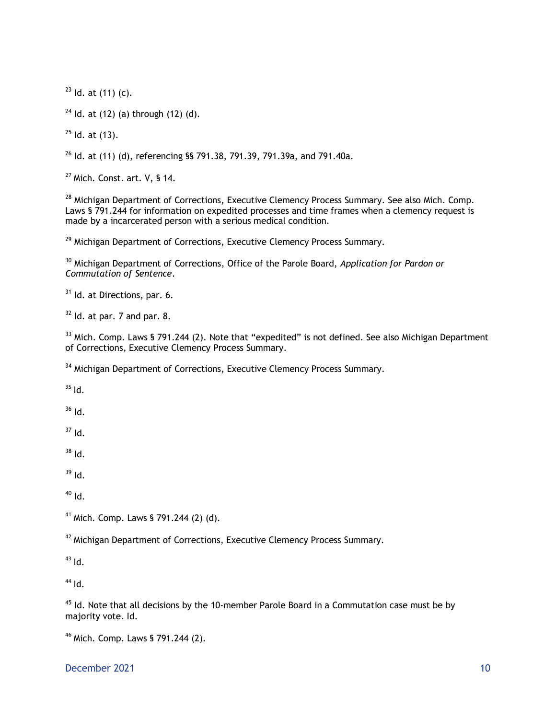Id. at (11) (c).

Id. at (12) (a) through (12) (d).

Id. at  $(13)$ .

Id. at (11) (d), referencing §§ 791.38, 791.39, 791.39a, and 791.40a.

Mich. Const. art. V, § 14.

<sup>28</sup> Michigan Department of Corrections, Executive Clemency Process Summary. See also Mich. Comp. Laws § 791.244 for information on expedited processes and time frames when a clemency request is made by a incarcerated person with a serious medical condition.

<sup>29</sup> Michigan Department of Corrections, Executive Clemency Process Summary.

 Michigan Department of Corrections, Office of the Parole Board, *Application for Pardon or Commutation of Sentence*.

Id. at Directions, par. 6.

Id. at par. 7 and par. 8.

<sup>33</sup> Mich. Comp. Laws § 791.244 (2). Note that "expedited" is not defined. See also Michigan Department of Corrections, Executive Clemency Process Summary.

<sup>34</sup> Michigan Department of Corrections, Executive Clemency Process Summary.

Id.

Id.

Id.

Id.

Id.

Id.

<sup>41</sup> Mich. Comp. Laws § 791.244 (2) (d).

Michigan Department of Corrections, Executive Clemency Process Summary.

Id.

Id.

 Id. Note that all decisions by the 10-member Parole Board in a Commutation case must be by majority vote. Id.

Mich. Comp. Laws § 791.244 (2).